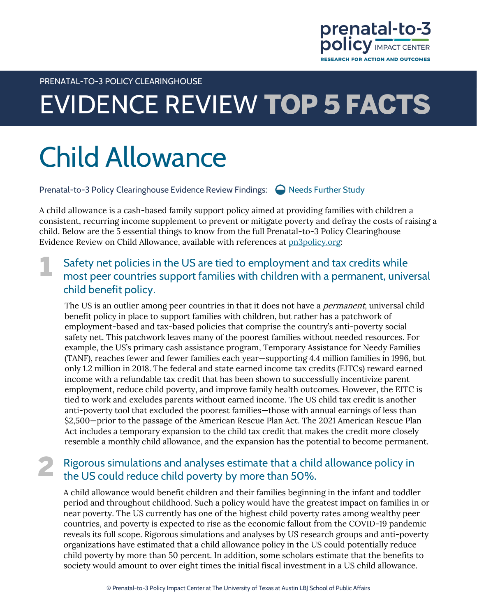

PRENATAL-TO-3 POLICY CLEARINGHOUSE

## **EVIDENCE REVIEW**

# **Child Allowance**

**Prenatal-to-3 Policy Clearinghouse Evidence Review Findings:**  $\bigcirc$  **Needs Further Study** 

A **child allowance** is a cash-based family support policy aimed at providing families with children a consistent, recurring income supplement to prevent or mitigate poverty and defray the costs of raising a child. Below are the 5 essential things to know from the full Prenatal-to-3 Policy Clearinghouse Evidence Review on Child Allowance, available with references at <u>pn3policy.org</u>:

## **Safety net policies in the US are tied to employment and tax credits while most peer countries support families with children with a permanent, universal child benefit policy.**

The US is an outlier among peer countries in that it does not have a *permanent*, universal child benefit policy in place to support families with children, but rather has a patchwork of employment-based and tax-based policies that comprise the country's anti-poverty social safety net. This patchwork leaves many of the poorest families without needed resources. For example, the US's primary cash assistance program, Temporary Assistance for Needy Families (TANF), reaches fewer and fewer families each year—supporting 4.4 million families in 1996, but only 1.2 million in 2018. The federal and state earned income tax credits (EITCs) reward earned income with a refundable tax credit that has been shown to successfully incentivize parent employment, reduce child poverty, and improve family health outcomes. However, the EITC is tied to work and excludes parents without earned income. The US child tax credit is another anti-poverty tool that excluded the poorest families—those with annual earnings of less than \$2,500—prior to the passage of the American Rescue Plan Act. The 2021 American Rescue Plan Act includes a temporary expansion to the child tax credit that makes the credit more closely resemble a monthly child allowance, and the expansion has the potential to become permanent.

## **Rigorous simulations and analyses estimate that a child allowance policy in the US could reduce child poverty by more than 50%.**

A child allowance would benefit children and their families beginning in the infant and toddler period and throughout childhood. Such a policy would have the greatest impact on families in or near poverty. The US currently has one of the highest child poverty rates among wealthy peer countries, and poverty is expected to rise as the economic fallout from the COVID-19 pandemic reveals its full scope. Rigorous simulations and analyses by US research groups and anti-poverty organizations have estimated that a child allowance policy in the US could potentially reduce child poverty by more than 50 percent. In addition, some scholars estimate that the benefits to society would amount to over eight times the initial fiscal investment in a US child allowance.